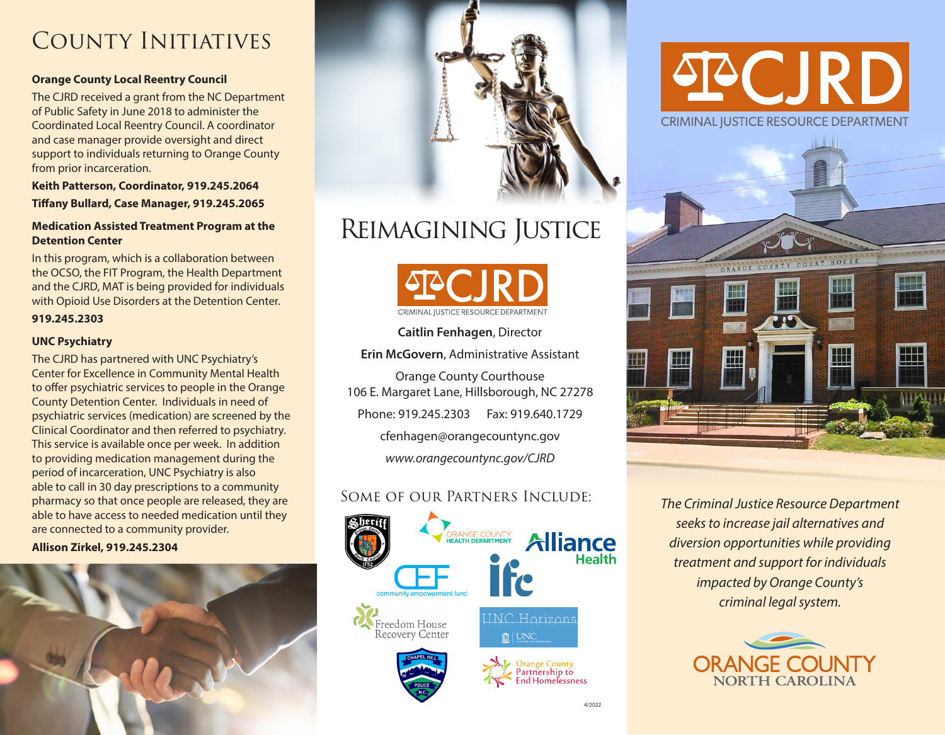# COUNTY INITIATIVES

#### **Orange County Local Reentry Council**

The CJRD received a grant from the NC Department of Public Safety in June 2018 to administer the Coordinated Local Reentry Council. A coordinator and case manager provide oversight and direct support to individuals returning to Orange County from prior incarceration.

**Keith Patterson, Coordinator, 919.245.2064 Tifany Bullard, Case Manager, 919.245.2065** 

#### **Medication Assisted Treatment Program at the Detention Center**

In this program, which is a collaboration between the OCSO, the FIT Program, the Health Department and the CJRD, MAT is being provided for individuals with Opioid Use Disorders at the Detention Center.

#### **919.245.2303**

#### **UNC Psychiatry**

The CJRD has partnered with UNC Psychiatry's Center for Excellence in Community Mental Health to offer psychiatric services to people in the Orange County Detention Center. Individuals in need of psychiatric services (medication) are screened by the Clinical Coordinator and then referred to psychiatry. This service is available once per week. In addition to providing medication management during the period of incarceration, UNC Psychiatry is also able to call in 30 day prescriptions to a community pharmacy so that once people are released, they are able to have access to needed medication until they are connected to a community provider.

**Allison Zirkel, 919.245.2304** 





# Reimagining Justice



**Caitlin Fenhagen**, Director

**Erin McGovern**, Administrative Assistant

Orange County Courthouse 106 E. Margaret Lane, Hillsborough, NC 27278 Phone: 919.245.2303 Fax: 919.640.1729 [cfenhagen@orangecountync.gov](mailto:cfenhagen@orangecountync.gov)  *<www.orangecountync.gov/CJRD>* 

# Some of our Partners Include:



# PCJRD **CRIMINAL JUSTICE RESOURCE DEPARTMENT**



*The Criminal Justice Resource Department seeks to increase jail alternatives and diversion opportunities while providing treatment and support for individuals impacted by Orange County's criminal legal system.*